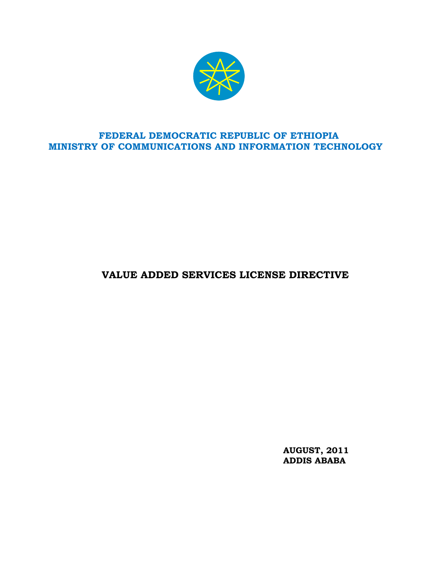

# **FEDERAL DEMOCRATIC REPUBLIC OF ETHIOPIA MINISTRY OF COMMUNICATIONS AND INFORMATION TECHNOLOGY**

# **VALUE ADDED SERVICES LICENSE DIRECTIVE**

**AUGUST, 2011 ADDIS ABABA**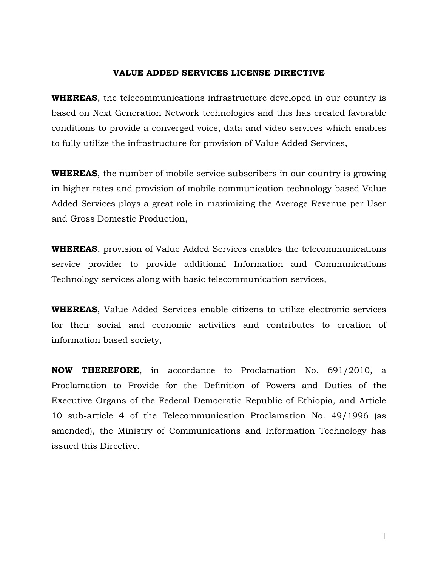#### **VALUE ADDED SERVICES LICENSE DIRECTIVE**

**WHEREAS**, the telecommunications infrastructure developed in our country is based on Next Generation Network technologies and this has created favorable conditions to provide a converged voice, data and video services which enables to fully utilize the infrastructure for provision of Value Added Services,

**WHEREAS**, the number of mobile service subscribers in our country is growing in higher rates and provision of mobile communication technology based Value Added Services plays a great role in maximizing the Average Revenue per User and Gross Domestic Production,

**WHEREAS**, provision of Value Added Services enables the telecommunications service provider to provide additional Information and Communications Technology services along with basic telecommunication services,

**WHEREAS**, Value Added Services enable citizens to utilize electronic services for their social and economic activities and contributes to creation of information based society,

**NOW THEREFORE**, in accordance to Proclamation No. 691/2010, a Proclamation to Provide for the Definition of Powers and Duties of the Executive Organs of the Federal Democratic Republic of Ethiopia, and Article 10 sub-article 4 of the Telecommunication Proclamation No. 49/1996 (as amended), the Ministry of Communications and Information Technology has issued this Directive.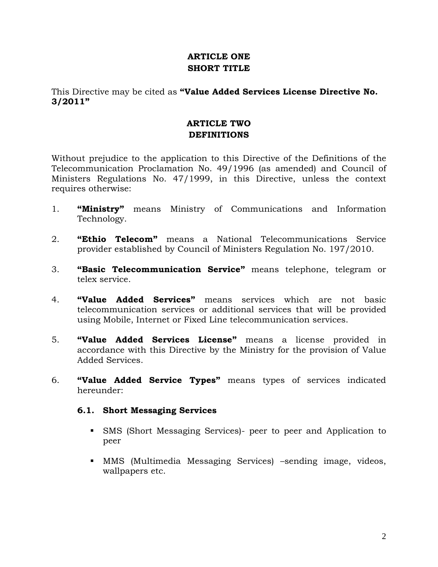## **ARTICLE ONE SHORT TITLE**

## This Directive may be cited as **"Value Added Services License Directive No. 3/2011"**

# **ARTICLE TWO DEFINITIONS**

Without prejudice to the application to this Directive of the Definitions of the Telecommunication Proclamation No. 49/1996 (as amended) and Council of Ministers Regulations No. 47/1999, in this Directive, unless the context requires otherwise:

- 1. **"Ministry"** means Ministry of Communications and Information Technology.
- 2. **"Ethio Telecom"** means a National Telecommunications Service provider established by Council of Ministers Regulation No. 197/2010.
- 3. **"Basic Telecommunication Service"** means telephone, telegram or telex service.
- 4. **"Value Added Services"** means services which are not basic telecommunication services or additional services that will be provided using Mobile, Internet or Fixed Line telecommunication services.
- 5. **"Value Added Services License"** means a license provided in accordance with this Directive by the Ministry for the provision of Value Added Services.
- 6. **"Value Added Service Types"** means types of services indicated hereunder:

#### **6.1. Short Messaging Services**

- SMS (Short Messaging Services)- peer to peer and Application to peer
- MMS (Multimedia Messaging Services) –sending image, videos, wallpapers etc.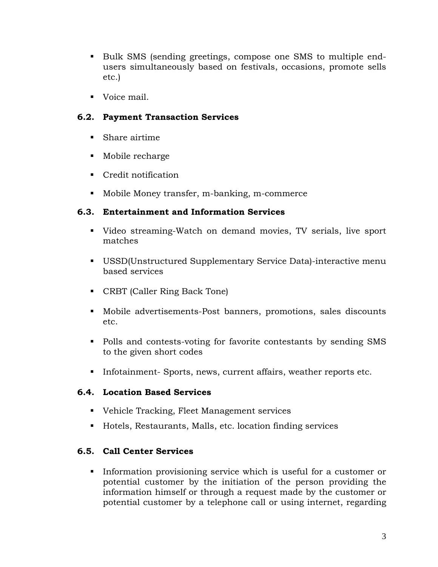- Bulk SMS (sending greetings, compose one SMS to multiple endusers simultaneously based on festivals, occasions, promote sells etc.)
- Voice mail.

# **6.2. Payment Transaction Services**

- Share airtime
- Mobile recharge
- Credit notification
- Mobile Money transfer, m-banking, m-commerce

## **6.3. Entertainment and Information Services**

- Video streaming-Watch on demand movies, TV serials, live sport matches
- USSD(Unstructured Supplementary Service Data)-interactive menu based services
- CRBT (Caller Ring Back Tone)
- Mobile advertisements-Post banners, promotions, sales discounts etc.
- Polls and contests-voting for favorite contestants by sending SMS to the given short codes
- Infotainment- Sports, news, current affairs, weather reports etc.

## **6.4. Location Based Services**

- Vehicle Tracking, Fleet Management services
- Hotels, Restaurants, Malls, etc. location finding services

## **6.5. Call Center Services**

Information provisioning service which is useful for a customer or potential customer by the initiation of the person providing the information himself or through a request made by the customer or potential customer by a telephone call or using internet, regarding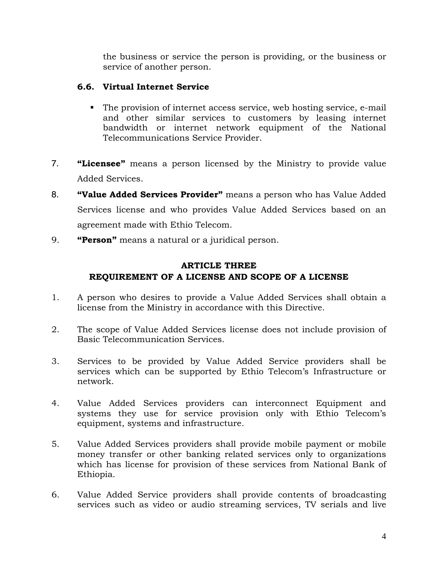the business or service the person is providing, or the business or service of another person.

## **6.6. Virtual Internet Service**

- The provision of internet access service, web hosting service, e-mail and other similar services to customers by leasing internet bandwidth or internet network equipment of the National Telecommunications Service Provider.
- 7. **"Licensee"** means a person licensed by the Ministry to provide value Added Services.
- 8. **"Value Added Services Provider"** means a person who has Value Added Services license and who provides Value Added Services based on an agreement made with Ethio Telecom.
- 9. **"Person"** means a natural or a juridical person.

# **ARTICLE THREE REQUIREMENT OF A LICENSE AND SCOPE OF A LICENSE**

- 1. A person who desires to provide a Value Added Services shall obtain a license from the Ministry in accordance with this Directive.
- 2. The scope of Value Added Services license does not include provision of Basic Telecommunication Services.
- 3. Services to be provided by Value Added Service providers shall be services which can be supported by Ethio Telecom's Infrastructure or network.
- 4. Value Added Services providers can interconnect Equipment and systems they use for service provision only with Ethio Telecom's equipment, systems and infrastructure.
- 5. Value Added Services providers shall provide mobile payment or mobile money transfer or other banking related services only to organizations which has license for provision of these services from National Bank of Ethiopia.
- 6. Value Added Service providers shall provide contents of broadcasting services such as video or audio streaming services, TV serials and live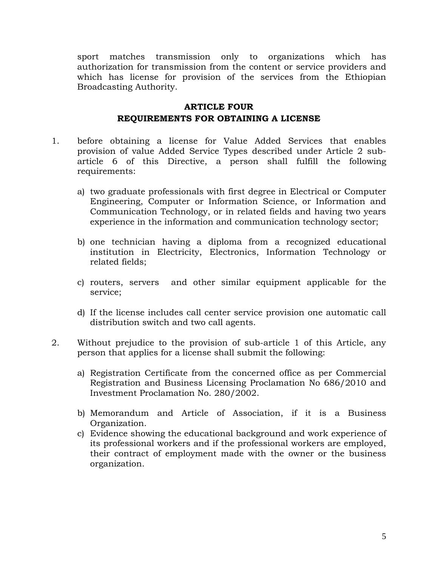sport matches transmission only to organizations which has authorization for transmission from the content or service providers and which has license for provision of the services from the Ethiopian Broadcasting Authority.

## **ARTICLE FOUR REQUIREMENTS FOR OBTAINING A LICENSE**

- 1. before obtaining a license for Value Added Services that enables provision of value Added Service Types described under Article 2 subarticle 6 of this Directive, a person shall fulfill the following requirements:
	- a) two graduate professionals with first degree in Electrical or Computer Engineering, Computer or Information Science, or Information and Communication Technology, or in related fields and having two years experience in the information and communication technology sector;
	- b) one technician having a diploma from a recognized educational institution in Electricity, Electronics, Information Technology or related fields;
	- c) routers, servers and other similar equipment applicable for the service;
	- d) If the license includes call center service provision one automatic call distribution switch and two call agents.
- 2. Without prejudice to the provision of sub-article 1 of this Article, any person that applies for a license shall submit the following:
	- a) Registration Certificate from the concerned office as per Commercial Registration and Business Licensing Proclamation No 686/2010 and Investment Proclamation No. 280/2002.
	- b) Memorandum and Article of Association, if it is a Business Organization.
	- c) Evidence showing the educational background and work experience of its professional workers and if the professional workers are employed, their contract of employment made with the owner or the business organization.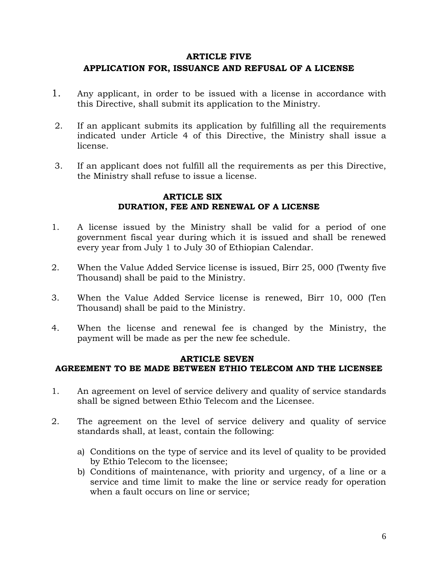## **ARTICLE FIVE APPLICATION FOR, ISSUANCE AND REFUSAL OF A LICENSE**

- 1. Any applicant, in order to be issued with a license in accordance with this Directive, shall submit its application to the Ministry.
- 2. If an applicant submits its application by fulfilling all the requirements indicated under Article 4 of this Directive, the Ministry shall issue a license.
- 3. If an applicant does not fulfill all the requirements as per this Directive, the Ministry shall refuse to issue a license.

#### **ARTICLE SIX DURATION, FEE AND RENEWAL OF A LICENSE**

- 1. A license issued by the Ministry shall be valid for a period of one government fiscal year during which it is issued and shall be renewed every year from July 1 to July 30 of Ethiopian Calendar.
- 2. When the Value Added Service license is issued, Birr 25, 000 (Twenty five Thousand) shall be paid to the Ministry.
- 3. When the Value Added Service license is renewed, Birr 10, 000 (Ten Thousand) shall be paid to the Ministry.
- 4. When the license and renewal fee is changed by the Ministry, the payment will be made as per the new fee schedule.

#### **ARTICLE SEVEN**

#### **AGREEMENT TO BE MADE BETWEEN ETHIO TELECOM AND THE LICENSEE**

- 1. An agreement on level of service delivery and quality of service standards shall be signed between Ethio Telecom and the Licensee.
- 2. The agreement on the level of service delivery and quality of service standards shall, at least, contain the following:
	- a) Conditions on the type of service and its level of quality to be provided by Ethio Telecom to the licensee;
	- b) Conditions of maintenance, with priority and urgency, of a line or a service and time limit to make the line or service ready for operation when a fault occurs on line or service;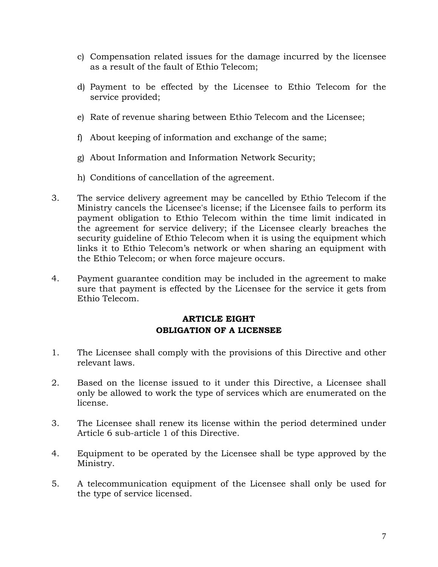- c) Compensation related issues for the damage incurred by the licensee as a result of the fault of Ethio Telecom;
- d) Payment to be effected by the Licensee to Ethio Telecom for the service provided;
- e) Rate of revenue sharing between Ethio Telecom and the Licensee;
- f) About keeping of information and exchange of the same;
- g) About Information and Information Network Security;
- h) Conditions of cancellation of the agreement.
- 3. The service delivery agreement may be cancelled by Ethio Telecom if the Ministry cancels the Licensee's license; if the Licensee fails to perform its payment obligation to Ethio Telecom within the time limit indicated in the agreement for service delivery; if the Licensee clearly breaches the security guideline of Ethio Telecom when it is using the equipment which links it to Ethio Telecom's network or when sharing an equipment with the Ethio Telecom; or when force majeure occurs.
- 4. Payment guarantee condition may be included in the agreement to make sure that payment is effected by the Licensee for the service it gets from Ethio Telecom.

#### **ARTICLE EIGHT OBLIGATION OF A LICENSEE**

- 1. The Licensee shall comply with the provisions of this Directive and other relevant laws.
- 2. Based on the license issued to it under this Directive, a Licensee shall only be allowed to work the type of services which are enumerated on the license.
- 3. The Licensee shall renew its license within the period determined under Article 6 sub-article 1 of this Directive.
- 4. Equipment to be operated by the Licensee shall be type approved by the Ministry.
- 5. A telecommunication equipment of the Licensee shall only be used for the type of service licensed.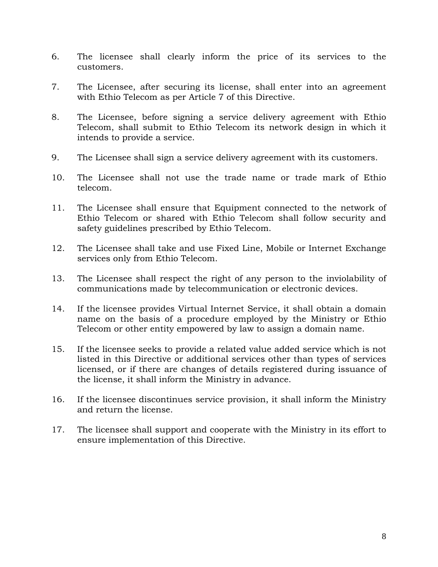- 6. The licensee shall clearly inform the price of its services to the customers.
- 7. The Licensee, after securing its license, shall enter into an agreement with Ethio Telecom as per Article 7 of this Directive.
- 8. The Licensee, before signing a service delivery agreement with Ethio Telecom, shall submit to Ethio Telecom its network design in which it intends to provide a service.
- 9. The Licensee shall sign a service delivery agreement with its customers.
- 10. The Licensee shall not use the trade name or trade mark of Ethio telecom.
- 11. The Licensee shall ensure that Equipment connected to the network of Ethio Telecom or shared with Ethio Telecom shall follow security and safety guidelines prescribed by Ethio Telecom.
- 12. The Licensee shall take and use Fixed Line, Mobile or Internet Exchange services only from Ethio Telecom.
- 13. The Licensee shall respect the right of any person to the inviolability of communications made by telecommunication or electronic devices.
- 14. If the licensee provides Virtual Internet Service, it shall obtain a domain name on the basis of a procedure employed by the Ministry or Ethio Telecom or other entity empowered by law to assign a domain name.
- 15. If the licensee seeks to provide a related value added service which is not listed in this Directive or additional services other than types of services licensed, or if there are changes of details registered during issuance of the license, it shall inform the Ministry in advance.
- 16. If the licensee discontinues service provision, it shall inform the Ministry and return the license.
- 17. The licensee shall support and cooperate with the Ministry in its effort to ensure implementation of this Directive.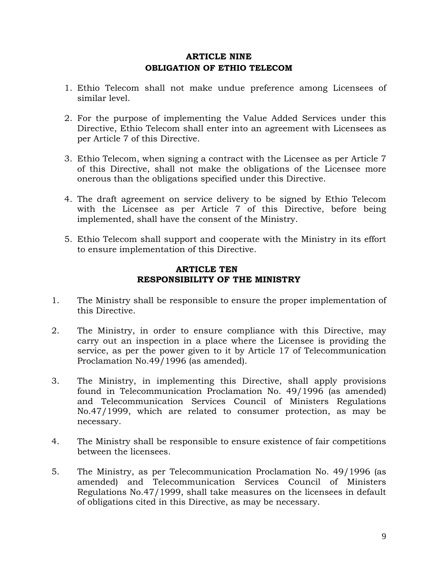#### **ARTICLE NINE OBLIGATION OF ETHIO TELECOM**

- 1. Ethio Telecom shall not make undue preference among Licensees of similar level.
- 2. For the purpose of implementing the Value Added Services under this Directive, Ethio Telecom shall enter into an agreement with Licensees as per Article 7 of this Directive.
- 3. Ethio Telecom, when signing a contract with the Licensee as per Article 7 of this Directive, shall not make the obligations of the Licensee more onerous than the obligations specified under this Directive.
- 4. The draft agreement on service delivery to be signed by Ethio Telecom with the Licensee as per Article 7 of this Directive, before being implemented, shall have the consent of the Ministry.
- 5. Ethio Telecom shall support and cooperate with the Ministry in its effort to ensure implementation of this Directive.

#### **ARTICLE TEN RESPONSIBILITY OF THE MINISTRY**

- 1. The Ministry shall be responsible to ensure the proper implementation of this Directive.
- 2. The Ministry, in order to ensure compliance with this Directive, may carry out an inspection in a place where the Licensee is providing the service, as per the power given to it by Article 17 of Telecommunication Proclamation No.49/1996 (as amended).
- 3. The Ministry, in implementing this Directive, shall apply provisions found in Telecommunication Proclamation No. 49/1996 (as amended) and Telecommunication Services Council of Ministers Regulations No.47/1999, which are related to consumer protection, as may be necessary.
- 4. The Ministry shall be responsible to ensure existence of fair competitions between the licensees.
- 5. The Ministry, as per Telecommunication Proclamation No. 49/1996 (as amended) and Telecommunication Services Council of Ministers Regulations No.47/1999, shall take measures on the licensees in default of obligations cited in this Directive, as may be necessary.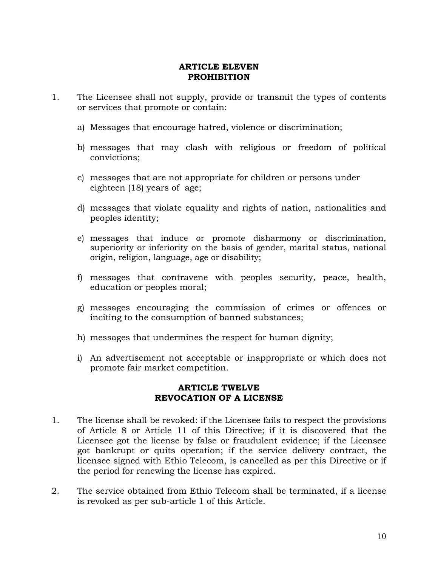#### **ARTICLE ELEVEN PROHIBITION**

- 1. The Licensee shall not supply, provide or transmit the types of contents or services that promote or contain:
	- a) Messages that encourage hatred, violence or discrimination;
	- b) messages that may clash with religious or freedom of political convictions;
	- c) messages that are not appropriate for children or persons under eighteen (18) years of age;
	- d) messages that violate equality and rights of nation, nationalities and peoples identity;
	- e) messages that induce or promote disharmony or discrimination, superiority or inferiority on the basis of gender, marital status, national origin, religion, language, age or disability;
	- f) messages that contravene with peoples security, peace, health, education or peoples moral;
	- g) messages encouraging the commission of crimes or offences or inciting to the consumption of banned substances;
	- h) messages that undermines the respect for human dignity;
	- i) An advertisement not acceptable or inappropriate or which does not promote fair market competition.

#### **ARTICLE TWELVE REVOCATION OF A LICENSE**

- 1. The license shall be revoked: if the Licensee fails to respect the provisions of Article 8 or Article 11 of this Directive; if it is discovered that the Licensee got the license by false or fraudulent evidence; if the Licensee got bankrupt or quits operation; if the service delivery contract, the licensee signed with Ethio Telecom, is cancelled as per this Directive or if the period for renewing the license has expired.
- 2. The service obtained from Ethio Telecom shall be terminated, if a license is revoked as per sub-article 1 of this Article.